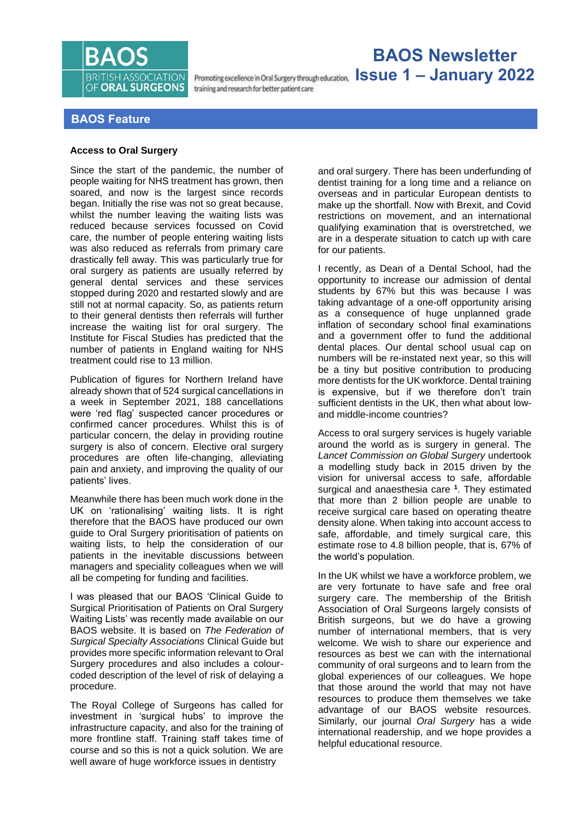

training and research for better patient care

# **BAOS Newsletter Issue 1 – January 2022**

# **BAOS Feature**

## **Access to Oral Surgery**

Since the start of the pandemic, the number of people waiting for NHS treatment has grown, then soared, and now is the largest since records began. Initially the rise was not so great because, whilst the number leaving the waiting lists was reduced because services focussed on Covid care, the number of people entering waiting lists was also reduced as referrals from primary care drastically fell away. This was particularly true for oral surgery as patients are usually referred by general dental services and these services stopped during 2020 and restarted slowly and are still not at normal capacity. So, as patients return to their general dentists then referrals will further increase the waiting list for oral surgery. The Institute for Fiscal Studies has predicted that the number of patients in England waiting for NHS treatment could rise to 13 million.

Publication of figures for Northern Ireland have already shown that of 524 surgical cancellations in a week in September 2021, 188 cancellations were 'red flag' suspected cancer procedures or confirmed cancer procedures. Whilst this is of particular concern, the delay in providing routine surgery is also of concern. Elective oral surgery procedures are often life-changing, alleviating pain and anxiety, and improving the quality of our patients' lives.

Meanwhile there has been much work done in the UK on 'rationalising' waiting lists. It is right therefore that the BAOS have produced our own guide to Oral Surgery prioritisation of patients on waiting lists, to help the consideration of our patients in the inevitable discussions between managers and speciality colleagues when we will all be competing for funding and facilities.

I was pleased that our BAOS 'Clinical Guide to Surgical Prioritisation of Patients on Oral Surgery Waiting Lists' was recently made available on our BAOS website. It is based on *The Federation of Surgical Specialty Associations* Clinical Guide but provides more specific information relevant to Oral Surgery procedures and also includes a colourcoded description of the level of risk of delaying a procedure.

The Royal College of Surgeons has called for investment in 'surgical hubs' to improve the infrastructure capacity, and also for the training of more frontline staff. Training staff takes time of course and so this is not a quick solution. We are well aware of huge workforce issues in dentistry

and oral surgery. There has been underfunding of dentist training for a long time and a reliance on overseas and in particular European dentists to make up the shortfall. Now with Brexit, and Covid restrictions on movement, and an international qualifying examination that is overstretched, we are in a desperate situation to catch up with care for our patients.

I recently, as Dean of a Dental School, had the opportunity to increase our admission of dental students by 67% but this was because I was taking advantage of a one-off opportunity arising as a consequence of huge unplanned grade inflation of secondary school final examinations and a government offer to fund the additional dental places. Our dental school usual cap on numbers will be re-instated next year, so this will be a tiny but positive contribution to producing more dentists for the UK workforce. Dental training is expensive, but if we therefore don't train sufficient dentists in the UK, then what about lowand middle-income countries?

Access to oral surgery services is hugely variable around the world as is surgery in general. The *Lancet Commission on Global Surgery* undertook a modelling study back in 2015 driven by the vision for universal access to safe, affordable surgical and anaesthesia care **<sup>1</sup>** . They estimated that more than 2 billion people are unable to receive surgical care based on operating theatre density alone. When taking into account access to safe, affordable, and timely surgical care, this estimate rose to 4.8 billion people, that is, 67% of the world's population.

In the UK whilst we have a workforce problem, we are very fortunate to have safe and free oral surgery care. The membership of the British Association of Oral Surgeons largely consists of British surgeons, but we do have a growing number of international members, that is very welcome. We wish to share our experience and resources as best we can with the international community of oral surgeons and to learn from the global experiences of our colleagues. We hope that those around the world that may not have resources to produce them themselves we take advantage of our BAOS website resources. Similarly, our journal *Oral Surgery* has a wide international readership, and we hope provides a helpful educational resource.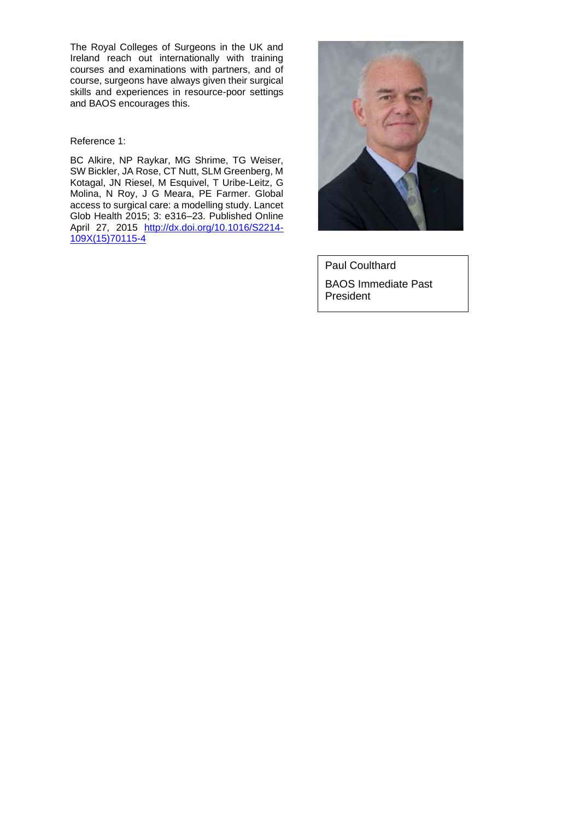The Royal Colleges of Surgeons in the UK and Ireland reach out internationally with training courses and examinations with partners, and of course, surgeons have always given their surgical skills and experiences in resource-poor settings and BAOS encourages this.

Reference 1:

BC Alkire, NP Raykar, MG Shrime, TG Weiser, SW Bickler, JA Rose, CT Nutt, SLM Greenberg, M Kotagal, JN Riesel, M Esquivel, T Uribe-Leitz, G Molina, N Roy, J G Meara, PE Farmer. Global access to surgical care: a modelling study. Lancet Glob Health 2015; 3: e316–23. Published Online April 27, 2015 [http://dx.doi.org/10.1016/S2214-](http://dx.doi.org/10.1016/S2214-109X(15)70115-4) [109X\(15\)70115-4](http://dx.doi.org/10.1016/S2214-109X(15)70115-4)



Paul Coulthard BAOS Immediate Past President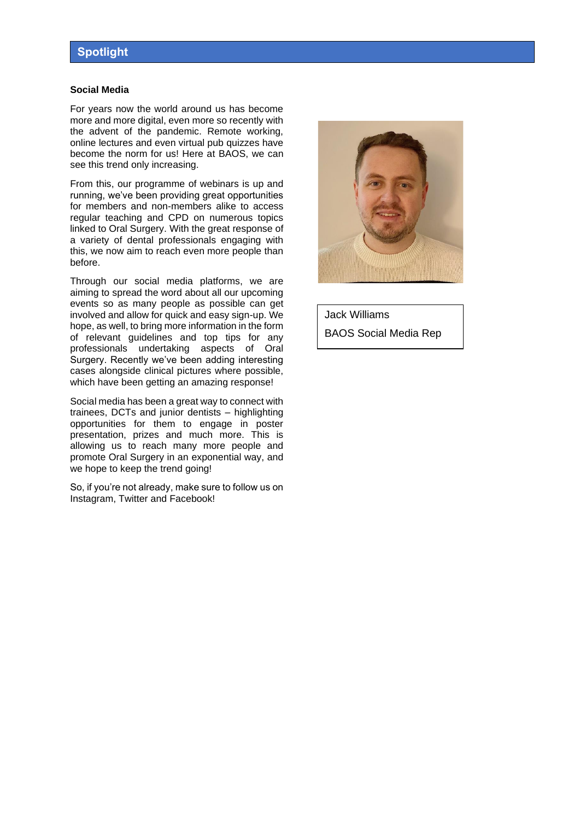### **Social Media**

For years now the world around us has become more and more digital, even more so recently with the advent of the pandemic. Remote working, online lectures and even virtual pub quizzes have become the norm for us! Here at BAOS, we can see this trend only increasing.

From this, our programme of webinars is up and running, we've been providing great opportunities for members and non-members alike to access regular teaching and CPD on numerous topics linked to Oral Surgery. With the great response of a variety of dental professionals engaging with this, we now aim to reach even more people than before.

Through our social media platforms, we are aiming to spread the word about all our upcoming events so as many people as possible can get involved and allow for quick and easy sign-up. We hope, as well, to bring more information in the form of relevant guidelines and top tips for any professionals undertaking aspects of Oral Surgery. Recently we've been adding interesting cases alongside clinical pictures where possible, which have been getting an amazing response!

Social media has been a great way to connect with trainees, DCTs and junior dentists – highlighting opportunities for them to engage in poster presentation, prizes and much more. This is allowing us to reach many more people and promote Oral Surgery in an exponential way, and we hope to keep the trend going!

So, if you're not already, make sure to follow us on Instagram, Twitter and Facebook!



Jack Williams BAOS Social Media Rep